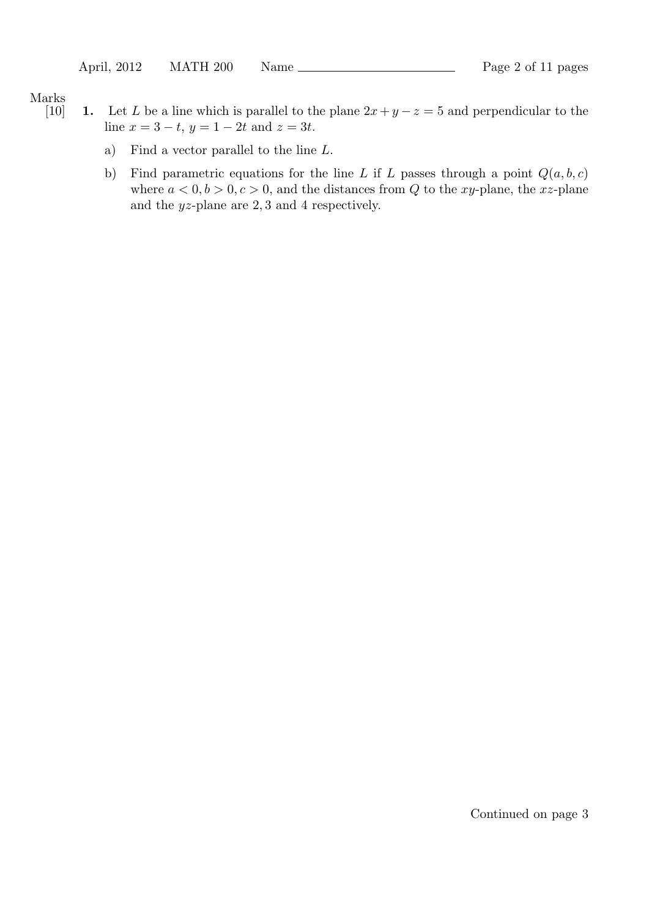Marks

- [10] **1.** Let *L* be a line which is parallel to the plane  $2x + y z = 5$  and perpendicular to the line  $x = 3 - t$ ,  $y = 1 - 2t$  and  $z = 3t$ .
	- a) Find a vector parallel to the line *L*.
	- b) Find parametric equations for the line *L* if *L* passes through a point  $Q(a, b, c)$ where  $a < 0, b > 0, c > 0$ , and the distances from Q to the *xy*-plane, the *xz*-plane and the *yz*-plane are 2*,* 3 and 4 respectively.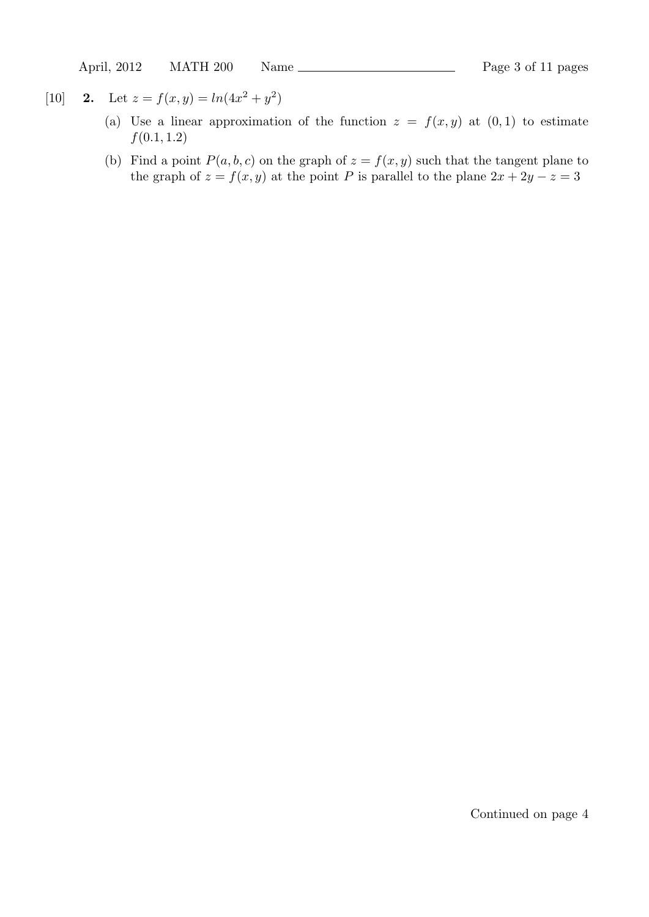April, 2012 MATH 200 Name Page 3 of 11 pages

- [10] **2.** Let  $z = f(x, y) = ln(4x^2 + y^2)$ 
	- (a) Use a linear approximation of the function  $z = f(x, y)$  at  $(0, 1)$  to estimate *f*(0*.*1*,* 1*.*2)
	- (b) Find a point  $P(a, b, c)$  on the graph of  $z = f(x, y)$  such that the tangent plane to the graph of  $z = f(x, y)$  at the point *P* is parallel to the plane  $2x + 2y - z = 3$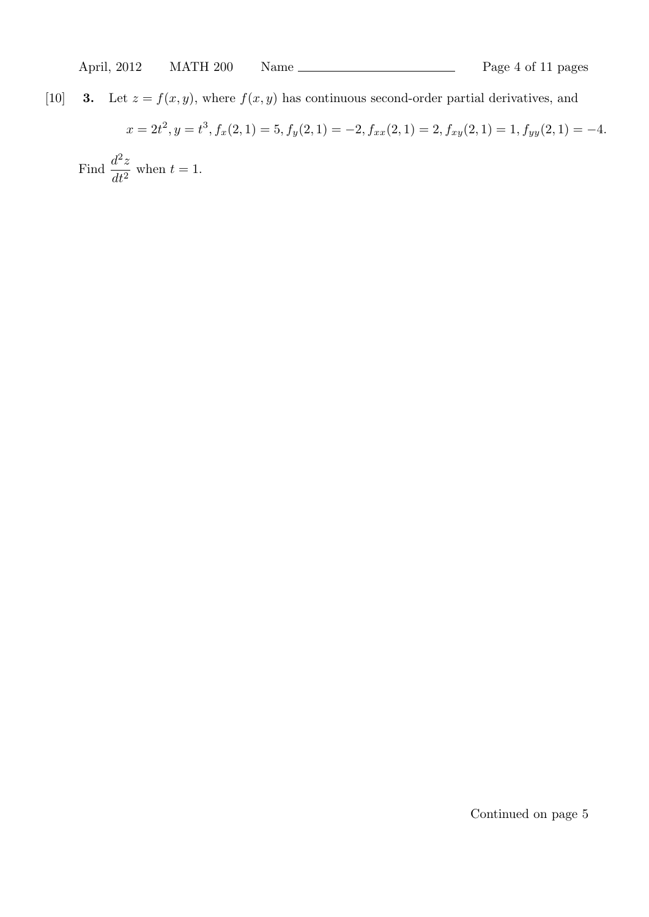# [10] **3.** Let  $z = f(x, y)$ , where  $f(x, y)$  has continuous second-order partial derivatives, and

$$
x = 2t^2, y = t^3, f_x(2, 1) = 5, f_y(2, 1) = -2, f_{xx}(2, 1) = 2, f_{xy}(2, 1) = 1, f_{yy}(2, 1) = -4.
$$
  
Find 
$$
\frac{d^2z}{dt^2}
$$
 when  $t = 1$ .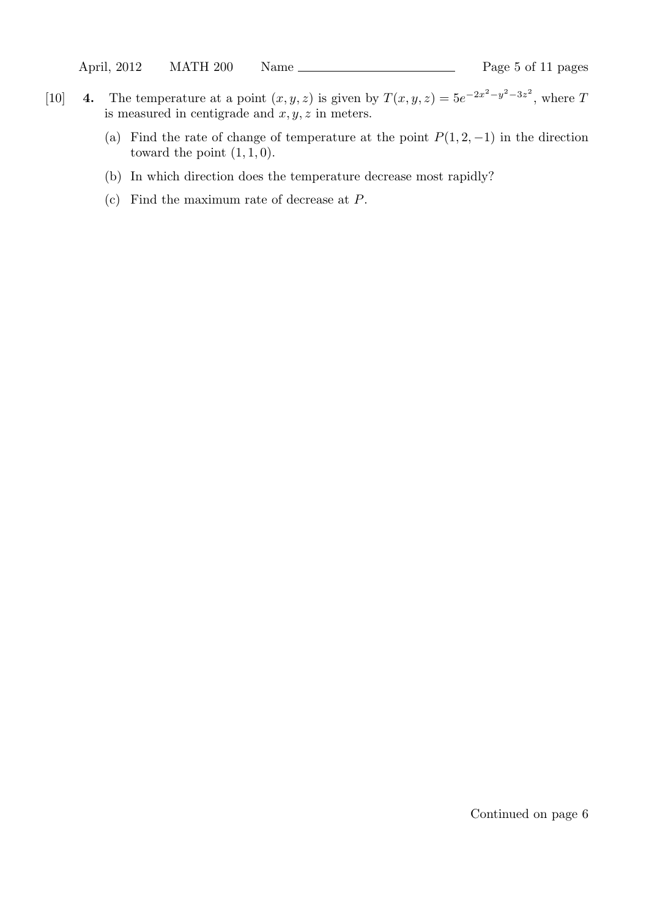- [10] **4.** The temperature at a point  $(x, y, z)$  is given by  $T(x, y, z) = 5e^{-2x^2 y^2 3z^2}$ , where T is measured in centigrade and  $x, y, z$  in meters.
	- (a) Find the rate of change of temperature at the point  $P(1, 2, -1)$  in the direction toward the point  $(1, 1, 0)$ .
	- (b) In which direction does the temperature decrease most rapidly?
	- (c) Find the maximum rate of decrease at *P*.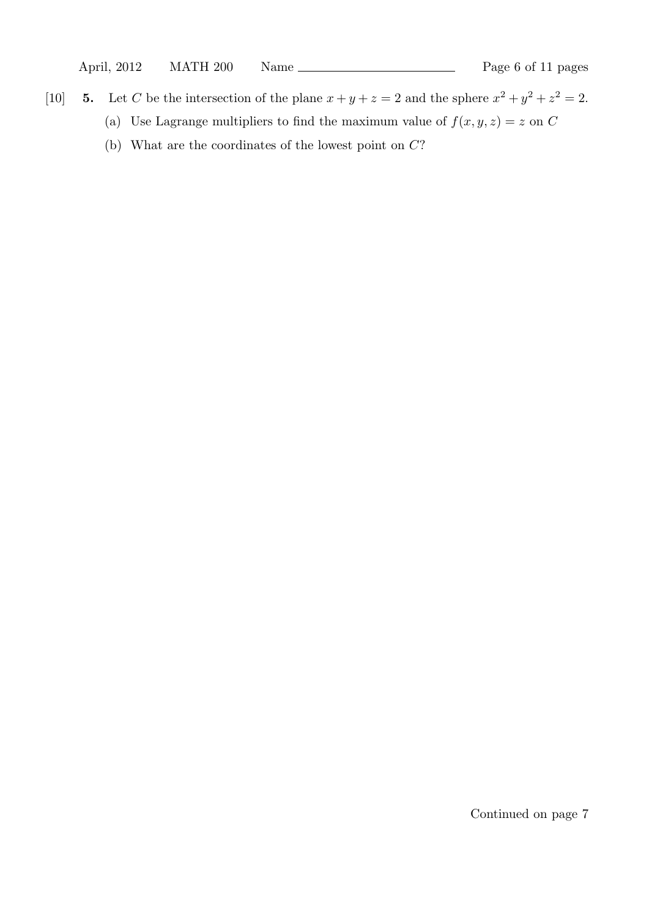- [10] **5.** Let C be the intersection of the plane  $x + y + z = 2$  and the sphere  $x^2 + y^2 + z^2 = 2$ .
	- (a) Use Lagrange multipliers to find the maximum value of  $f(x, y, z) = z$  on *C*
	- (b) What are the coordinates of the lowest point on *C*?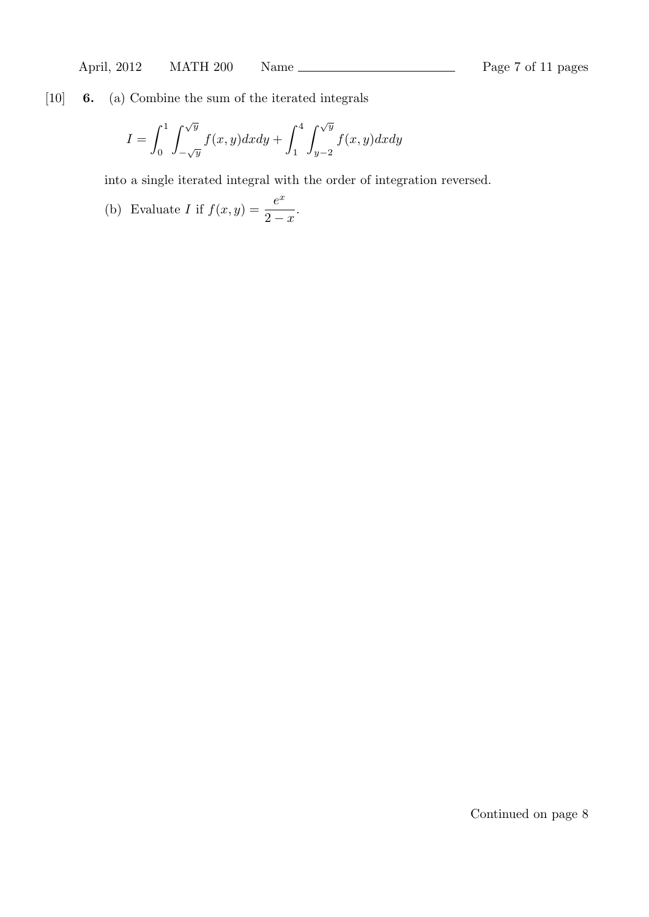[10] **6.** (a) Combine the sum of the iterated integrals

$$
I = \int_0^1 \int_{-\sqrt{y}}^{\sqrt{y}} f(x, y) dx dy + \int_1^4 \int_{y-2}^{\sqrt{y}} f(x, y) dx dy
$$

into a single iterated integral with the order of integration reversed.

(b) Evaluate I if 
$$
f(x, y) = \frac{e^x}{2 - x}
$$
.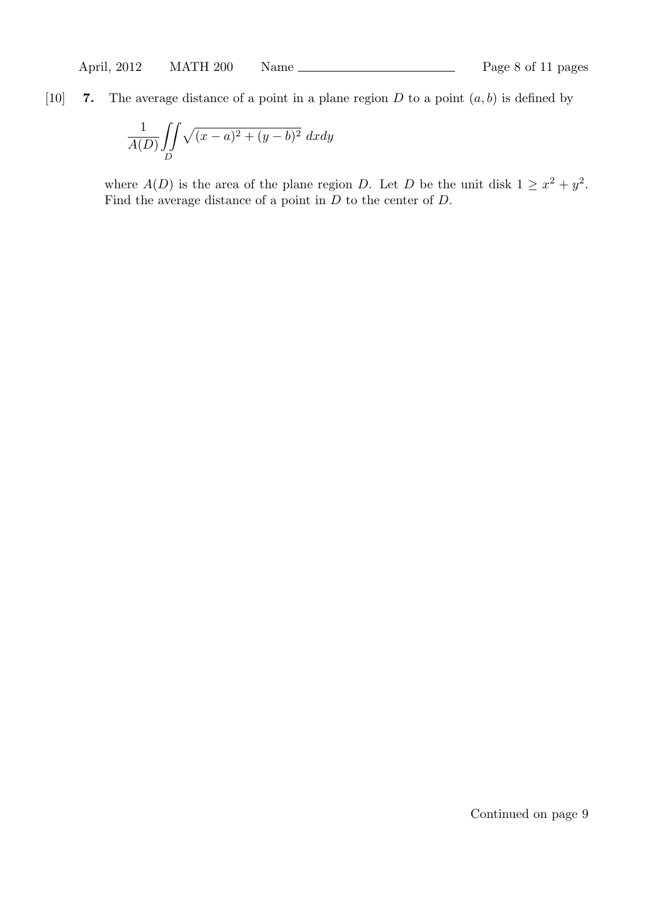## [10] **7.** The average distance of a point in a plane region  $D$  to a point  $(a, b)$  is defined by

$$
\frac{1}{A(D)} \iint\limits_{D} \sqrt{(x-a)^2 + (y-b)^2} \ dx dy
$$

where  $A(D)$  is the area of the plane region *D*. Let *D* be the unit disk  $1 \geq x^2 + y^2$ . Find the average distance of a point in *D* to the center of *D*.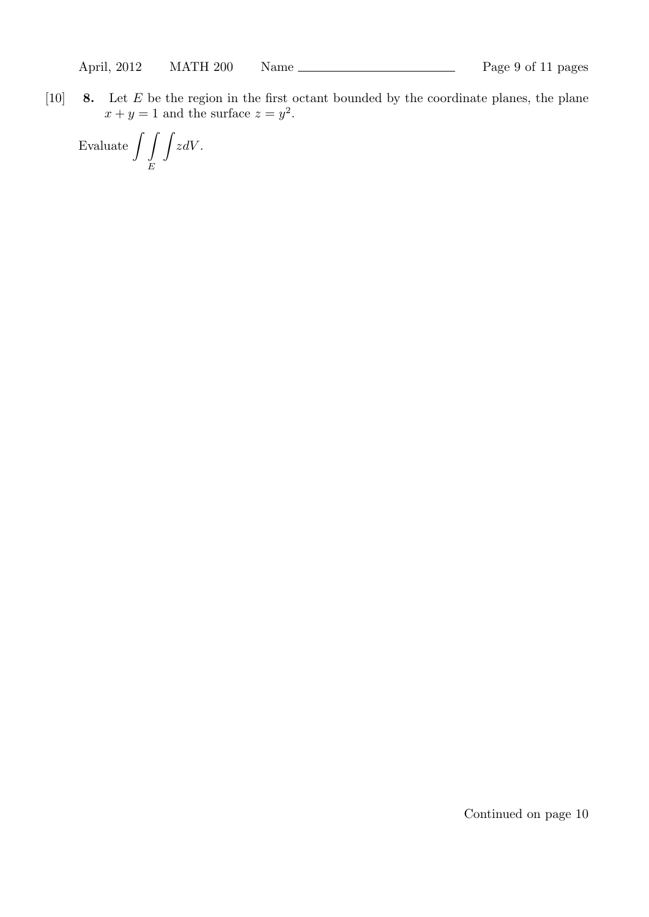[10] **8.** Let *E* be the region in the first octant bounded by the coordinate planes, the plane  $x + y = 1$  and the surface  $z = y^2$ .

Evaluate  $\int$ *E* ∫ *zdV* .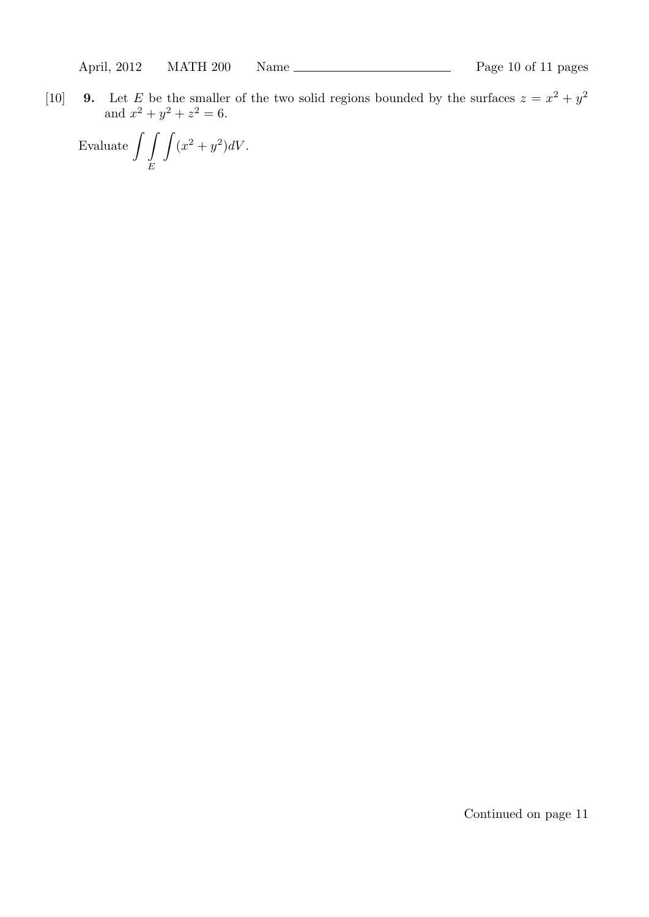[10] **9.** Let *E* be the smaller of the two solid regions bounded by the surfaces  $z = x^2 + y^2$ and  $x^2 + y^2 + z^2 = 6$ .

Evaluate 
$$
\int\int\int\int (x^2 + y^2) dV.
$$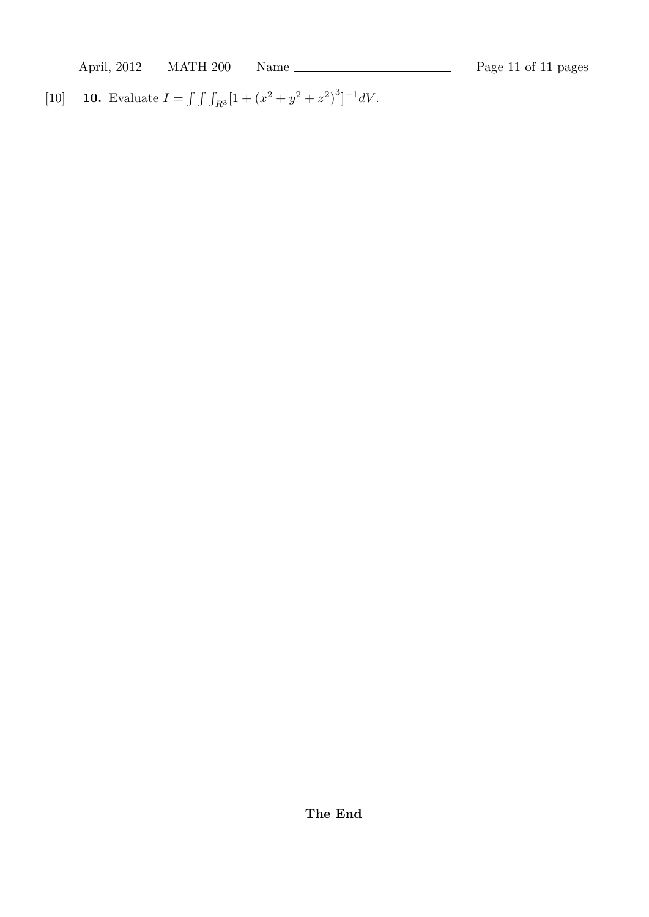April, 2012 MATH 200 Name Page 11 of 11 pages

[10] **10.** Evaluate  $I = \int \int \int_{R^3} [1 + (x^2 + y^2 + z^2)^3]^{-1} dV$ .